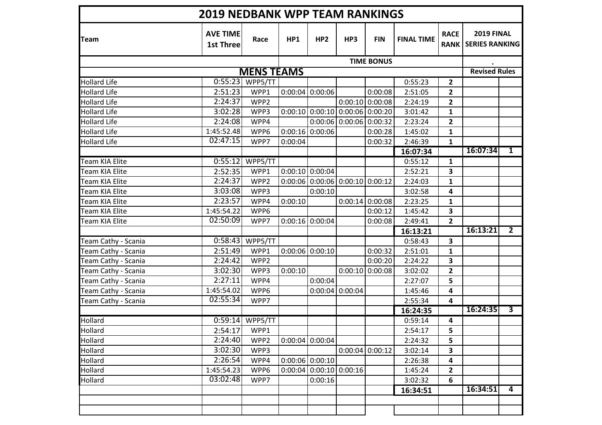| <b>AVE TIME</b><br><b>2019 FINAL</b><br><b>RACE</b><br>HP1<br>HP <sub>2</sub><br>HP3<br><b>FIN</b><br><b>FINAL TIME</b><br>Race<br><b>RANK SERIES RANKING</b><br><b>1st Three</b><br><b>TIME BONUS</b><br><b>MENS TEAMS</b><br>0:55:23<br>0:55:23<br><b>Hollard Life</b><br>WPP5/TT<br>$\overline{\mathbf{2}}$<br>0:00:08<br>2:51:23<br>WPP1<br>$0:00:04$ 0:00:06<br>2:51:05<br>$\mathbf{2}$<br><b>Hollard Life</b><br>2:24:37<br><b>Hollard Life</b><br>WPP2<br>$0:00:10$ 0:00:08<br>$\mathbf{2}$<br>2:24:19<br>3:02:28<br>$0:00:10$ 0:00:10 0:00:06 0:00:20<br><b>Hollard Life</b><br>WPP3<br>3:01:42<br>$\mathbf{1}$<br>2:24:08<br>$0:00:06$ 0:00:06 0:00:32<br><b>Hollard Life</b><br>WPP4<br>2:23:24<br>$\mathbf{2}$<br><b>Hollard Life</b><br>1:45:52.48<br>WPP6<br>$0:00:16$ 0:00:06<br>0:00:28<br>1:45:02<br>$\mathbf{1}$<br>02:47:15<br>0:00:32<br><b>Hollard Life</b><br>WPP7<br>0:00:04<br>2:46:39<br>$\mathbf{1}$<br>16:07:34<br>$\overline{\mathbf{1}}$<br>16:07:34<br>0:55:12<br>WPP5/TT<br><b>Team KIA Elite</b><br>0:55:12<br>1<br>2:52:35<br>WPP1<br>$0:00:10$ 0:00:04<br>2:52:21<br>3<br>Team KIA Elite<br>2:24:37<br>$0:00:06$ 0:00:06 0:00:10 0:00:12<br>WPP2<br>$\mathbf{1}$<br>Team KIA Elite<br>2:24:03<br>3:03:08<br>Team KIA Elite<br>WPP3<br>0:00:10<br>4<br>3:02:58<br>2:23:57<br>0:00:10<br>$0:00:14$ 0:00:08<br>2:23:25<br>Team KIA Elite<br>WPP4<br>$\mathbf{1}$<br>1:45:54.22<br>WPP6<br>0:00:12<br>3<br>Team KIA Elite<br>1:45:42<br>02:50:09<br>$0:00:16$ 0:00:04<br>$\overline{2}$<br>Team KIA Elite<br>WPP7<br>0:00:08<br>2:49:41<br>$\overline{2}$<br>16:13:21<br>16:13:21<br>0:58:43<br>WPP5/TT<br>Team Cathy - Scania<br>0:58:43<br>3<br>$0:00:06$ 0:00:10<br>0:00:32<br><b>Team Cathy - Scania</b><br>2:51:49<br>WPP1<br>2:51:01<br>$\mathbf{1}$<br>2:24:42<br>0:00:20<br>Team Cathy - Scania<br>WPP2<br>2:24:22<br>3<br>3:02:30<br>$0:00:10$ 0:00:08<br>$\overline{2}$<br>0:00:10<br>Team Cathy - Scania<br>WPP3<br>3:02:02<br>2:27:11<br>WPP4<br>0:00:04<br>5<br>Team Cathy - Scania<br>2:27:07<br>$0:00:04$ 0:00:04<br>1:45:54.02<br>Team Cathy - Scania<br>WPP6<br>4<br>1:45:46<br>02:55:34<br>4<br>Team Cathy - Scania<br>WPP7<br>2:55:34<br>16:24:35<br>$\overline{\mathbf{3}}$<br>16:24:35<br>$0:59:14$ WPP5/TT<br>0:59:14<br>4<br>2:54:17<br>WPP1<br>2:54:17<br>5 | <b>2019 NEDBANK WPP TEAM RANKINGS</b> |  |  |  |  |  |  |  |  |                      |  |  |
|------------------------------------------------------------------------------------------------------------------------------------------------------------------------------------------------------------------------------------------------------------------------------------------------------------------------------------------------------------------------------------------------------------------------------------------------------------------------------------------------------------------------------------------------------------------------------------------------------------------------------------------------------------------------------------------------------------------------------------------------------------------------------------------------------------------------------------------------------------------------------------------------------------------------------------------------------------------------------------------------------------------------------------------------------------------------------------------------------------------------------------------------------------------------------------------------------------------------------------------------------------------------------------------------------------------------------------------------------------------------------------------------------------------------------------------------------------------------------------------------------------------------------------------------------------------------------------------------------------------------------------------------------------------------------------------------------------------------------------------------------------------------------------------------------------------------------------------------------------------------------------------------------------------------------------------------------------------------------------------------------------------------------------------------------------------------------------------------------------------------------------------------------------------------------------------------------------------------------------------------------------------------------------------------------------------|---------------------------------------|--|--|--|--|--|--|--|--|----------------------|--|--|
| <b>Hollard</b><br>Hollard                                                                                                                                                                                                                                                                                                                                                                                                                                                                                                                                                                                                                                                                                                                                                                                                                                                                                                                                                                                                                                                                                                                                                                                                                                                                                                                                                                                                                                                                                                                                                                                                                                                                                                                                                                                                                                                                                                                                                                                                                                                                                                                                                                                                                                                                                        | <b>Team</b>                           |  |  |  |  |  |  |  |  |                      |  |  |
|                                                                                                                                                                                                                                                                                                                                                                                                                                                                                                                                                                                                                                                                                                                                                                                                                                                                                                                                                                                                                                                                                                                                                                                                                                                                                                                                                                                                                                                                                                                                                                                                                                                                                                                                                                                                                                                                                                                                                                                                                                                                                                                                                                                                                                                                                                                  |                                       |  |  |  |  |  |  |  |  |                      |  |  |
|                                                                                                                                                                                                                                                                                                                                                                                                                                                                                                                                                                                                                                                                                                                                                                                                                                                                                                                                                                                                                                                                                                                                                                                                                                                                                                                                                                                                                                                                                                                                                                                                                                                                                                                                                                                                                                                                                                                                                                                                                                                                                                                                                                                                                                                                                                                  |                                       |  |  |  |  |  |  |  |  | <b>Revised Rules</b> |  |  |
|                                                                                                                                                                                                                                                                                                                                                                                                                                                                                                                                                                                                                                                                                                                                                                                                                                                                                                                                                                                                                                                                                                                                                                                                                                                                                                                                                                                                                                                                                                                                                                                                                                                                                                                                                                                                                                                                                                                                                                                                                                                                                                                                                                                                                                                                                                                  |                                       |  |  |  |  |  |  |  |  |                      |  |  |
|                                                                                                                                                                                                                                                                                                                                                                                                                                                                                                                                                                                                                                                                                                                                                                                                                                                                                                                                                                                                                                                                                                                                                                                                                                                                                                                                                                                                                                                                                                                                                                                                                                                                                                                                                                                                                                                                                                                                                                                                                                                                                                                                                                                                                                                                                                                  |                                       |  |  |  |  |  |  |  |  |                      |  |  |
|                                                                                                                                                                                                                                                                                                                                                                                                                                                                                                                                                                                                                                                                                                                                                                                                                                                                                                                                                                                                                                                                                                                                                                                                                                                                                                                                                                                                                                                                                                                                                                                                                                                                                                                                                                                                                                                                                                                                                                                                                                                                                                                                                                                                                                                                                                                  |                                       |  |  |  |  |  |  |  |  |                      |  |  |
|                                                                                                                                                                                                                                                                                                                                                                                                                                                                                                                                                                                                                                                                                                                                                                                                                                                                                                                                                                                                                                                                                                                                                                                                                                                                                                                                                                                                                                                                                                                                                                                                                                                                                                                                                                                                                                                                                                                                                                                                                                                                                                                                                                                                                                                                                                                  |                                       |  |  |  |  |  |  |  |  |                      |  |  |
|                                                                                                                                                                                                                                                                                                                                                                                                                                                                                                                                                                                                                                                                                                                                                                                                                                                                                                                                                                                                                                                                                                                                                                                                                                                                                                                                                                                                                                                                                                                                                                                                                                                                                                                                                                                                                                                                                                                                                                                                                                                                                                                                                                                                                                                                                                                  |                                       |  |  |  |  |  |  |  |  |                      |  |  |
|                                                                                                                                                                                                                                                                                                                                                                                                                                                                                                                                                                                                                                                                                                                                                                                                                                                                                                                                                                                                                                                                                                                                                                                                                                                                                                                                                                                                                                                                                                                                                                                                                                                                                                                                                                                                                                                                                                                                                                                                                                                                                                                                                                                                                                                                                                                  |                                       |  |  |  |  |  |  |  |  |                      |  |  |
|                                                                                                                                                                                                                                                                                                                                                                                                                                                                                                                                                                                                                                                                                                                                                                                                                                                                                                                                                                                                                                                                                                                                                                                                                                                                                                                                                                                                                                                                                                                                                                                                                                                                                                                                                                                                                                                                                                                                                                                                                                                                                                                                                                                                                                                                                                                  |                                       |  |  |  |  |  |  |  |  |                      |  |  |
|                                                                                                                                                                                                                                                                                                                                                                                                                                                                                                                                                                                                                                                                                                                                                                                                                                                                                                                                                                                                                                                                                                                                                                                                                                                                                                                                                                                                                                                                                                                                                                                                                                                                                                                                                                                                                                                                                                                                                                                                                                                                                                                                                                                                                                                                                                                  |                                       |  |  |  |  |  |  |  |  |                      |  |  |
|                                                                                                                                                                                                                                                                                                                                                                                                                                                                                                                                                                                                                                                                                                                                                                                                                                                                                                                                                                                                                                                                                                                                                                                                                                                                                                                                                                                                                                                                                                                                                                                                                                                                                                                                                                                                                                                                                                                                                                                                                                                                                                                                                                                                                                                                                                                  |                                       |  |  |  |  |  |  |  |  |                      |  |  |
|                                                                                                                                                                                                                                                                                                                                                                                                                                                                                                                                                                                                                                                                                                                                                                                                                                                                                                                                                                                                                                                                                                                                                                                                                                                                                                                                                                                                                                                                                                                                                                                                                                                                                                                                                                                                                                                                                                                                                                                                                                                                                                                                                                                                                                                                                                                  |                                       |  |  |  |  |  |  |  |  |                      |  |  |
|                                                                                                                                                                                                                                                                                                                                                                                                                                                                                                                                                                                                                                                                                                                                                                                                                                                                                                                                                                                                                                                                                                                                                                                                                                                                                                                                                                                                                                                                                                                                                                                                                                                                                                                                                                                                                                                                                                                                                                                                                                                                                                                                                                                                                                                                                                                  |                                       |  |  |  |  |  |  |  |  |                      |  |  |
|                                                                                                                                                                                                                                                                                                                                                                                                                                                                                                                                                                                                                                                                                                                                                                                                                                                                                                                                                                                                                                                                                                                                                                                                                                                                                                                                                                                                                                                                                                                                                                                                                                                                                                                                                                                                                                                                                                                                                                                                                                                                                                                                                                                                                                                                                                                  |                                       |  |  |  |  |  |  |  |  |                      |  |  |
|                                                                                                                                                                                                                                                                                                                                                                                                                                                                                                                                                                                                                                                                                                                                                                                                                                                                                                                                                                                                                                                                                                                                                                                                                                                                                                                                                                                                                                                                                                                                                                                                                                                                                                                                                                                                                                                                                                                                                                                                                                                                                                                                                                                                                                                                                                                  |                                       |  |  |  |  |  |  |  |  |                      |  |  |
|                                                                                                                                                                                                                                                                                                                                                                                                                                                                                                                                                                                                                                                                                                                                                                                                                                                                                                                                                                                                                                                                                                                                                                                                                                                                                                                                                                                                                                                                                                                                                                                                                                                                                                                                                                                                                                                                                                                                                                                                                                                                                                                                                                                                                                                                                                                  |                                       |  |  |  |  |  |  |  |  |                      |  |  |
|                                                                                                                                                                                                                                                                                                                                                                                                                                                                                                                                                                                                                                                                                                                                                                                                                                                                                                                                                                                                                                                                                                                                                                                                                                                                                                                                                                                                                                                                                                                                                                                                                                                                                                                                                                                                                                                                                                                                                                                                                                                                                                                                                                                                                                                                                                                  |                                       |  |  |  |  |  |  |  |  |                      |  |  |
|                                                                                                                                                                                                                                                                                                                                                                                                                                                                                                                                                                                                                                                                                                                                                                                                                                                                                                                                                                                                                                                                                                                                                                                                                                                                                                                                                                                                                                                                                                                                                                                                                                                                                                                                                                                                                                                                                                                                                                                                                                                                                                                                                                                                                                                                                                                  |                                       |  |  |  |  |  |  |  |  |                      |  |  |
|                                                                                                                                                                                                                                                                                                                                                                                                                                                                                                                                                                                                                                                                                                                                                                                                                                                                                                                                                                                                                                                                                                                                                                                                                                                                                                                                                                                                                                                                                                                                                                                                                                                                                                                                                                                                                                                                                                                                                                                                                                                                                                                                                                                                                                                                                                                  |                                       |  |  |  |  |  |  |  |  |                      |  |  |
|                                                                                                                                                                                                                                                                                                                                                                                                                                                                                                                                                                                                                                                                                                                                                                                                                                                                                                                                                                                                                                                                                                                                                                                                                                                                                                                                                                                                                                                                                                                                                                                                                                                                                                                                                                                                                                                                                                                                                                                                                                                                                                                                                                                                                                                                                                                  |                                       |  |  |  |  |  |  |  |  |                      |  |  |
|                                                                                                                                                                                                                                                                                                                                                                                                                                                                                                                                                                                                                                                                                                                                                                                                                                                                                                                                                                                                                                                                                                                                                                                                                                                                                                                                                                                                                                                                                                                                                                                                                                                                                                                                                                                                                                                                                                                                                                                                                                                                                                                                                                                                                                                                                                                  |                                       |  |  |  |  |  |  |  |  |                      |  |  |
|                                                                                                                                                                                                                                                                                                                                                                                                                                                                                                                                                                                                                                                                                                                                                                                                                                                                                                                                                                                                                                                                                                                                                                                                                                                                                                                                                                                                                                                                                                                                                                                                                                                                                                                                                                                                                                                                                                                                                                                                                                                                                                                                                                                                                                                                                                                  |                                       |  |  |  |  |  |  |  |  |                      |  |  |
|                                                                                                                                                                                                                                                                                                                                                                                                                                                                                                                                                                                                                                                                                                                                                                                                                                                                                                                                                                                                                                                                                                                                                                                                                                                                                                                                                                                                                                                                                                                                                                                                                                                                                                                                                                                                                                                                                                                                                                                                                                                                                                                                                                                                                                                                                                                  |                                       |  |  |  |  |  |  |  |  |                      |  |  |
|                                                                                                                                                                                                                                                                                                                                                                                                                                                                                                                                                                                                                                                                                                                                                                                                                                                                                                                                                                                                                                                                                                                                                                                                                                                                                                                                                                                                                                                                                                                                                                                                                                                                                                                                                                                                                                                                                                                                                                                                                                                                                                                                                                                                                                                                                                                  |                                       |  |  |  |  |  |  |  |  |                      |  |  |
|                                                                                                                                                                                                                                                                                                                                                                                                                                                                                                                                                                                                                                                                                                                                                                                                                                                                                                                                                                                                                                                                                                                                                                                                                                                                                                                                                                                                                                                                                                                                                                                                                                                                                                                                                                                                                                                                                                                                                                                                                                                                                                                                                                                                                                                                                                                  |                                       |  |  |  |  |  |  |  |  |                      |  |  |
|                                                                                                                                                                                                                                                                                                                                                                                                                                                                                                                                                                                                                                                                                                                                                                                                                                                                                                                                                                                                                                                                                                                                                                                                                                                                                                                                                                                                                                                                                                                                                                                                                                                                                                                                                                                                                                                                                                                                                                                                                                                                                                                                                                                                                                                                                                                  |                                       |  |  |  |  |  |  |  |  |                      |  |  |
|                                                                                                                                                                                                                                                                                                                                                                                                                                                                                                                                                                                                                                                                                                                                                                                                                                                                                                                                                                                                                                                                                                                                                                                                                                                                                                                                                                                                                                                                                                                                                                                                                                                                                                                                                                                                                                                                                                                                                                                                                                                                                                                                                                                                                                                                                                                  |                                       |  |  |  |  |  |  |  |  |                      |  |  |
|                                                                                                                                                                                                                                                                                                                                                                                                                                                                                                                                                                                                                                                                                                                                                                                                                                                                                                                                                                                                                                                                                                                                                                                                                                                                                                                                                                                                                                                                                                                                                                                                                                                                                                                                                                                                                                                                                                                                                                                                                                                                                                                                                                                                                                                                                                                  |                                       |  |  |  |  |  |  |  |  |                      |  |  |
| 5<br>2:24:40<br>$0:00:04$ 0:00:04<br>Hollard<br>WPP2<br>2:24:32                                                                                                                                                                                                                                                                                                                                                                                                                                                                                                                                                                                                                                                                                                                                                                                                                                                                                                                                                                                                                                                                                                                                                                                                                                                                                                                                                                                                                                                                                                                                                                                                                                                                                                                                                                                                                                                                                                                                                                                                                                                                                                                                                                                                                                                  |                                       |  |  |  |  |  |  |  |  |                      |  |  |
| 3:02:30<br>$0:00:04$ 0:00:12<br>3<br>Hollard<br>WPP3<br>3:02:14                                                                                                                                                                                                                                                                                                                                                                                                                                                                                                                                                                                                                                                                                                                                                                                                                                                                                                                                                                                                                                                                                                                                                                                                                                                                                                                                                                                                                                                                                                                                                                                                                                                                                                                                                                                                                                                                                                                                                                                                                                                                                                                                                                                                                                                  |                                       |  |  |  |  |  |  |  |  |                      |  |  |
| 2:26:54<br>$0:00:06$ 0:00:10<br>Hollard<br>WPP4<br>4<br>2:26:38                                                                                                                                                                                                                                                                                                                                                                                                                                                                                                                                                                                                                                                                                                                                                                                                                                                                                                                                                                                                                                                                                                                                                                                                                                                                                                                                                                                                                                                                                                                                                                                                                                                                                                                                                                                                                                                                                                                                                                                                                                                                                                                                                                                                                                                  |                                       |  |  |  |  |  |  |  |  |                      |  |  |
| $0:00:04$ 0:00:10 0:00:16<br>1:45:54.23<br>$\mathbf{2}$<br>Hollard<br>WPP6<br>1:45:24                                                                                                                                                                                                                                                                                                                                                                                                                                                                                                                                                                                                                                                                                                                                                                                                                                                                                                                                                                                                                                                                                                                                                                                                                                                                                                                                                                                                                                                                                                                                                                                                                                                                                                                                                                                                                                                                                                                                                                                                                                                                                                                                                                                                                            |                                       |  |  |  |  |  |  |  |  |                      |  |  |
| 03:02:48<br>6<br>Hollard<br>WPP7<br>0:00:16<br>3:02:32                                                                                                                                                                                                                                                                                                                                                                                                                                                                                                                                                                                                                                                                                                                                                                                                                                                                                                                                                                                                                                                                                                                                                                                                                                                                                                                                                                                                                                                                                                                                                                                                                                                                                                                                                                                                                                                                                                                                                                                                                                                                                                                                                                                                                                                           |                                       |  |  |  |  |  |  |  |  |                      |  |  |
| 16:34:51<br>$\overline{4}$<br>16:34:51                                                                                                                                                                                                                                                                                                                                                                                                                                                                                                                                                                                                                                                                                                                                                                                                                                                                                                                                                                                                                                                                                                                                                                                                                                                                                                                                                                                                                                                                                                                                                                                                                                                                                                                                                                                                                                                                                                                                                                                                                                                                                                                                                                                                                                                                           |                                       |  |  |  |  |  |  |  |  |                      |  |  |
|                                                                                                                                                                                                                                                                                                                                                                                                                                                                                                                                                                                                                                                                                                                                                                                                                                                                                                                                                                                                                                                                                                                                                                                                                                                                                                                                                                                                                                                                                                                                                                                                                                                                                                                                                                                                                                                                                                                                                                                                                                                                                                                                                                                                                                                                                                                  |                                       |  |  |  |  |  |  |  |  |                      |  |  |
|                                                                                                                                                                                                                                                                                                                                                                                                                                                                                                                                                                                                                                                                                                                                                                                                                                                                                                                                                                                                                                                                                                                                                                                                                                                                                                                                                                                                                                                                                                                                                                                                                                                                                                                                                                                                                                                                                                                                                                                                                                                                                                                                                                                                                                                                                                                  |                                       |  |  |  |  |  |  |  |  |                      |  |  |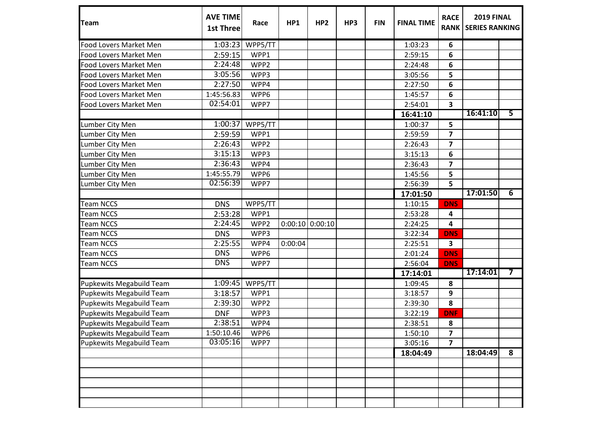| Team                            | <b>AVE TIME</b><br><b>1st Three</b> | Race    | HP1     | HP <sub>2</sub>   | HP3 | <b>FIN</b> | <b>FINAL TIME</b> | <b>RACE</b>             | <b>2019 FINAL</b><br><b>RANK   SERIES RANKING</b> |                         |
|---------------------------------|-------------------------------------|---------|---------|-------------------|-----|------------|-------------------|-------------------------|---------------------------------------------------|-------------------------|
| Food Lovers Market Men          | 1:03:23                             | WPP5/TT |         |                   |     |            | 1:03:23           | 6                       |                                                   |                         |
| Food Lovers Market Men          | 2:59:15                             | WPP1    |         |                   |     |            | 2:59:15           | 6                       |                                                   |                         |
| Food Lovers Market Men          | 2:24:48                             | WPP2    |         |                   |     |            | 2:24:48           | 6                       |                                                   |                         |
| Food Lovers Market Men          | 3:05:56                             | WPP3    |         |                   |     |            | 3:05:56           | 5                       |                                                   |                         |
| Food Lovers Market Men          | 2:27:50                             | WPP4    |         |                   |     |            | 2:27:50           | 6                       |                                                   |                         |
| Food Lovers Market Men          | 1:45:56.83                          | WPP6    |         |                   |     |            | 1:45:57           | 6                       |                                                   |                         |
| <b>Food Lovers Market Men</b>   | 02:54:01                            | WPP7    |         |                   |     |            | 2:54:01           | $\overline{\mathbf{3}}$ |                                                   |                         |
|                                 |                                     |         |         |                   |     |            | 16:41:10          |                         | 16:41:10                                          | $\overline{\mathbf{5}}$ |
| Lumber City Men                 | 1:00:37                             | WPP5/TT |         |                   |     |            | 1:00:37           | 5                       |                                                   |                         |
| Lumber City Men                 | 2:59:59                             | WPP1    |         |                   |     |            | 2:59:59           | $\overline{\mathbf{z}}$ |                                                   |                         |
| Lumber City Men                 | 2:26:43                             | WPP2    |         |                   |     |            | 2:26:43           | $\overline{\mathbf{z}}$ |                                                   |                         |
| Lumber City Men                 | 3:15:13                             | WPP3    |         |                   |     |            | 3:15:13           | 6                       |                                                   |                         |
| Lumber City Men                 | 2:36:43                             | WPP4    |         |                   |     |            | 2:36:43           | $\overline{\mathbf{z}}$ |                                                   |                         |
| Lumber City Men                 | 1:45:55.79                          | WPP6    |         |                   |     |            | 1:45:56           | 5                       |                                                   |                         |
| Lumber City Men                 | 02:56:39                            | WPP7    |         |                   |     |            | 2:56:39           | 5                       |                                                   |                         |
|                                 |                                     |         |         |                   |     |            | 17:01:50          |                         | 17:01:50                                          | $\overline{6}$          |
| <b>Team NCCS</b>                | <b>DNS</b>                          | WPP5/TT |         |                   |     |            | 1:10:15           | <b>DNS</b>              |                                                   |                         |
| <b>Team NCCS</b>                | 2:53:28                             | WPP1    |         |                   |     |            | 2:53:28           | 4                       |                                                   |                         |
| <b>Team NCCS</b>                | 2:24:45                             | WPP2    |         | $0:00:10$ 0:00:10 |     |            | 2:24:25           | 4                       |                                                   |                         |
| <b>Team NCCS</b>                | <b>DNS</b>                          | WPP3    |         |                   |     |            | 3:22:34           | <b>DNS</b>              |                                                   |                         |
| <b>Team NCCS</b>                | 2:25:55                             | WPP4    | 0:00:04 |                   |     |            | 2:25:51           | 3                       |                                                   |                         |
| <b>Team NCCS</b>                | <b>DNS</b>                          | WPP6    |         |                   |     |            | 2:01:24           | <b>DNS</b>              |                                                   |                         |
| <b>Team NCCS</b>                | <b>DNS</b>                          | WPP7    |         |                   |     |            | 2:56:04           | <b>DNS</b>              |                                                   |                         |
|                                 |                                     |         |         |                   |     |            | 17:14:01          |                         | 17:14:01                                          | 7                       |
| <b>Pupkewits Megabuild Team</b> | 1:09:45                             | WPP5/TT |         |                   |     |            | 1:09:45           | 8                       |                                                   |                         |
| <b>Pupkewits Megabuild Team</b> | 3:18:57                             | WPP1    |         |                   |     |            | 3:18:57           | 9                       |                                                   |                         |
| <b>Pupkewits Megabuild Team</b> | 2:39:30                             | WPP2    |         |                   |     |            | 2:39:30           | 8                       |                                                   |                         |
| <b>Pupkewits Megabuild Team</b> | <b>DNF</b>                          | WPP3    |         |                   |     |            | 3:22:19           | <b>DNF</b>              |                                                   |                         |
| Pupkewits Megabuild Team        | 2:38:51                             | WPP4    |         |                   |     |            | 2:38:51           | 8                       |                                                   |                         |
| <b>Pupkewits Megabuild Team</b> | 1:50:10.46                          | WPP6    |         |                   |     |            | 1:50:10           | $\overline{\mathbf{z}}$ |                                                   |                         |
| <b>Pupkewits Megabuild Team</b> | 03:05:16                            | WPP7    |         |                   |     |            | 3:05:16           | $\overline{7}$          |                                                   |                         |
|                                 |                                     |         |         |                   |     |            | 18:04:49          |                         | 18:04:49                                          | 8                       |
|                                 |                                     |         |         |                   |     |            |                   |                         |                                                   |                         |
|                                 |                                     |         |         |                   |     |            |                   |                         |                                                   |                         |
|                                 |                                     |         |         |                   |     |            |                   |                         |                                                   |                         |
|                                 |                                     |         |         |                   |     |            |                   |                         |                                                   |                         |
|                                 |                                     |         |         |                   |     |            |                   |                         |                                                   |                         |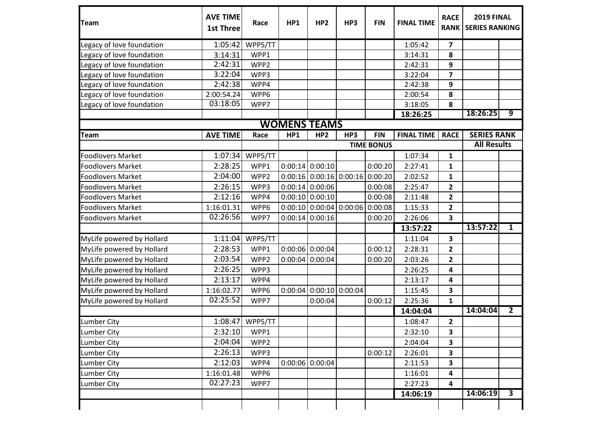| Team                      | <b>AVE TIME</b><br><b>1st Three</b> | Race    | HP1                 | HP <sub>2</sub>   | HP3                       | <b>FIN</b>        | <b>FINAL TIME</b> | <b>RACE</b><br><b>RANK</b> | <b>2019 FINAL</b><br><b>SERIES RANKING</b> |                         |  |
|---------------------------|-------------------------------------|---------|---------------------|-------------------|---------------------------|-------------------|-------------------|----------------------------|--------------------------------------------|-------------------------|--|
| Legacy of love foundation | 1:05:42                             | WPP5/TT |                     |                   |                           |                   | 1:05:42           | $\overline{\mathbf{z}}$    |                                            |                         |  |
| Legacy of love foundation | 3:14:31                             | WPP1    |                     |                   |                           |                   | 3:14:31           | 8                          |                                            |                         |  |
| Legacy of love foundation | 2:42:31                             | WPP2    |                     |                   |                           |                   | 2:42:31           | 9                          |                                            |                         |  |
| Legacy of love foundation | 3:22:04                             | WPP3    |                     |                   |                           |                   | 3:22:04           | $\overline{\mathbf{z}}$    |                                            |                         |  |
| Legacy of love foundation | 2:42:38                             | WPP4    |                     |                   |                           |                   | 2:42:38           | 9                          |                                            |                         |  |
| Legacy of love foundation | 2:00:54.24                          | WPP6    |                     |                   |                           |                   | 2:00:54           | 8                          |                                            |                         |  |
| Legacy of love foundation | 03:18:05                            | WPP7    |                     |                   |                           |                   | 3:18:05           | 8                          |                                            |                         |  |
|                           |                                     |         |                     |                   |                           |                   | 18:26:25          |                            | 18:26:25                                   | $\overline{9}$          |  |
|                           |                                     |         | <b>WOMENS TEAMS</b> |                   |                           |                   |                   |                            |                                            |                         |  |
| <b>Team</b>               | <b>AVE TIME</b>                     | Race    | HP1                 | HP <sub>2</sub>   | HP3                       | <b>FIN</b>        | <b>FINAL TIME</b> | <b>RACE</b>                | <b>SERIES RANK</b>                         |                         |  |
|                           |                                     |         |                     |                   |                           | <b>TIME BONUS</b> |                   |                            | <b>All Results</b>                         |                         |  |
| <b>Foodlovers Market</b>  | 1:07:34                             | WPP5/TT |                     |                   |                           |                   | 1:07:34           | 1                          |                                            |                         |  |
| <b>Foodlovers Market</b>  | 2:28:25                             | WPP1    |                     | $0:00:14$ 0:00:10 |                           | 0:00:20           | 2:27:41           | 1                          |                                            |                         |  |
| <b>Foodlovers Market</b>  | 2:04:00                             | WPP2    |                     |                   | $0:00:16$ 0:00:16 0:00:16 | 0:00:20           | 2:02:52           | 1                          |                                            |                         |  |
| <b>Foodlovers Market</b>  | 2:26:15                             | WPP3    |                     | $0:00:14$ 0:00:06 |                           | 0:00:08           | 2:25:47           | $\mathbf{2}$               |                                            |                         |  |
| <b>Foodlovers Market</b>  | 2:12:16                             | WPP4    |                     | $0:00:10$ 0:00:10 |                           | 0:00:08           | 2:11:48           | $\overline{\mathbf{2}}$    |                                            |                         |  |
| <b>Foodlovers Market</b>  | 1:16:01.31                          | WPP6    |                     |                   | $0:00:10$ 0:00:04 0:00:06 | 0:00:08           | 1:15:33           | $\overline{\mathbf{2}}$    |                                            |                         |  |
| <b>Foodlovers Market</b>  | 02:26:56                            | WPP7    |                     | $0:00:14$ 0:00:16 |                           | 0:00:20           | 2:26:06           | 3                          |                                            |                         |  |
|                           |                                     |         |                     |                   |                           |                   | 13:57:22          |                            | 13:57:22                                   | 1                       |  |
| MyLife powered by Hollard | 1:11:04                             | WPP5/TT |                     |                   |                           |                   | 1:11:04           | 3                          |                                            |                         |  |
| MyLife powered by Hollard | 2:28:53                             | WPP1    |                     | $0:00:06$ 0:00:04 |                           | 0:00:12           | 2:28:31           | $\overline{\mathbf{2}}$    |                                            |                         |  |
| MyLife powered by Hollard | 2:03:54                             | WPP2    |                     | $0:00:04$ 0:00:04 |                           | 0:00:20           | 2:03:26           | $\overline{\mathbf{2}}$    |                                            |                         |  |
| MyLife powered by Hollard | 2:26:25                             | WPP3    |                     |                   |                           |                   | 2:26:25           | 4                          |                                            |                         |  |
| MyLife powered by Hollard | 2:13:17                             | WPP4    |                     |                   |                           |                   | 2:13:17           | $\overline{\mathbf{4}}$    |                                            |                         |  |
| MyLife powered by Hollard | 1:16:02.77                          | WPP6    | 0:00:04             | $0:00:10$ 0:00:04 |                           |                   | 1:15:45           | 3                          |                                            |                         |  |
| MyLife powered by Hollard | 02:25:52                            | WPP7    |                     | 0:00:04           |                           | 0:00:12           | 2:25:36           | $\mathbf{1}$               |                                            |                         |  |
|                           |                                     |         |                     |                   |                           |                   | 14:04:04          |                            | 14:04:04                                   | $\overline{2}$          |  |
| <b>Lumber City</b>        | 1:08:47                             | WPP5/TT |                     |                   |                           |                   | 1:08:47           | $\overline{2}$             |                                            |                         |  |
| <b>Lumber City</b>        | 2:32:10                             | WPP1    |                     |                   |                           |                   | 2:32:10           | 3                          |                                            |                         |  |
| <b>Lumber City</b>        | 2:04:04                             | WPP2    |                     |                   |                           |                   | 2:04:04           | 3                          |                                            |                         |  |
| <b>Lumber City</b>        | 2:26:13                             | WPP3    |                     |                   |                           | 0:00:12           | 2:26:01           | $\overline{\mathbf{3}}$    |                                            |                         |  |
| <b>Lumber City</b>        | 2:12:03                             | WPP4    |                     | $0:00:06$ 0:00:04 |                           |                   | 2:11:53           | 3                          |                                            |                         |  |
| <b>Lumber City</b>        | 1:16:01.48                          | WPP6    |                     |                   |                           |                   | 1:16:01           | 4                          |                                            |                         |  |
| <b>Lumber City</b>        | 02:27:23                            | WPP7    |                     |                   |                           |                   | 2:27:23           | 4                          |                                            |                         |  |
|                           |                                     |         |                     |                   |                           |                   | 14:06:19          |                            | 14:06:19                                   | $\overline{\mathbf{3}}$ |  |
|                           |                                     |         |                     |                   |                           |                   |                   |                            |                                            |                         |  |